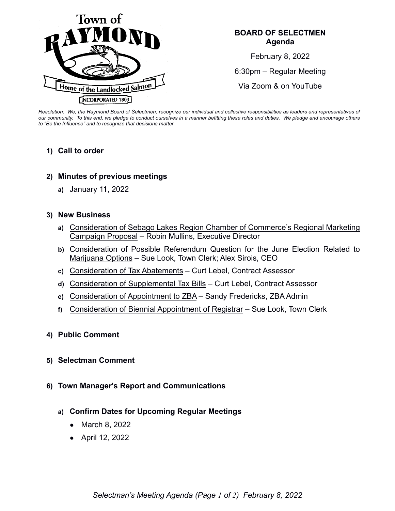

## **BOARD OF SELECTMEN Agenda**

February 8, 2022 6:30pm – Regular Meeting Via Zoom & on YouTube

*Resolution: We, the Raymond Board of Selectmen, recognize our individual and collective responsibilities as leaders and representatives of our community. To this end, we pledge to conduct ourselves in a manner befitting these roles and duties. We pledge and encourage others to "Be the Influence" and to recognize that decisions matter.*

### **1) Call to order**

- **2) Minutes of previous meetings**
	- **a)** January 11, 2022

### **3) New Business**

- **a)** Consideration of Sebago Lakes Region Chamber of Commerce's Regional Marketing Campaign Proposal – Robin Mullins, Executive Director
- **b)** Consideration of Possible Referendum Question for the June Election Related to Marijuana Options – Sue Look, Town Clerk; Alex Sirois, CEO
- **c)** Consideration of Tax Abatements Curt Lebel, Contract Assessor
- **d)** Consideration of Supplemental Tax Bills Curt Lebel, Contract Assessor
- **e)** Consideration of Appointment to ZBA Sandy Fredericks, ZBA Admin
- **f)** Consideration of Biennial Appointment of Registrar Sue Look, Town Clerk

#### **4) Public Comment**

- **5) Selectman Comment**
- **6) Town Manager's Report and Communications**
	- **a) Confirm Dates for Upcoming Regular Meetings**
		- March 8, 2022
		- April 12, 2022